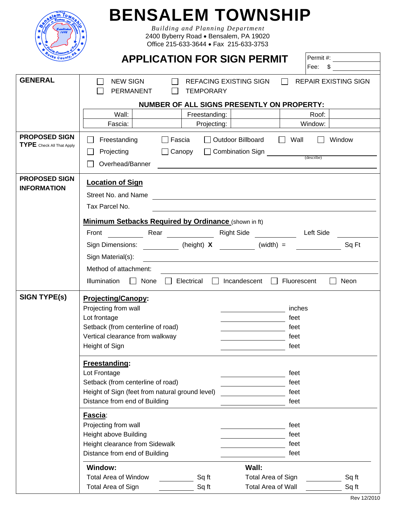| W ri                            |  |
|---------------------------------|--|
| ſЯ.                             |  |
|                                 |  |
| ೀ<br>c <sub>k</sub><br>Cou<br>٥ |  |

## **BENSALEM TOWNSHIP**

*Building and Planning Department*  2400 Byberry Road • Bensalem, PA 19020 Office 215-633-3644 • Fax 215-633-3753

| <b>Ucke County</b>                                | <b>APPLICATION FOR SIGN PERMIT</b>                                                                                              | Permit#:<br>Fee: \$                                                                                                    |  |
|---------------------------------------------------|---------------------------------------------------------------------------------------------------------------------------------|------------------------------------------------------------------------------------------------------------------------|--|
| <b>GENERAL</b>                                    | <b>NEW SIGN</b><br>PERMANENT<br><b>TEMPORARY</b>                                                                                | REFACING EXISTING SIGN<br><b>REPAIR EXISTING SIGN</b>                                                                  |  |
|                                                   |                                                                                                                                 | NUMBER OF ALL SIGNS PRESENTLY ON PROPERTY:                                                                             |  |
|                                                   | Wall:<br>Freestanding:                                                                                                          | Roof:                                                                                                                  |  |
|                                                   | Fascia:<br>Projecting:                                                                                                          | Window:                                                                                                                |  |
| <b>PROPOSED SIGN</b><br>TYPE Check All That Apply | $\Box$<br>Freestanding<br>$\Box$ Fascia<br>Projecting<br>$\Box$ Canopy<br>$\mathsf{L}$<br>Overhead/Banner                       | □ Outdoor Billboard<br>$\Box$ Wall<br>Window<br>$\Box$                                                                 |  |
| <b>PROPOSED SIGN</b><br><b>INFORMATION</b>        | <b>Location of Sign</b><br>Street No. and Name<br>Tax Parcel No.<br><b>Minimum Setbacks Required by Ordinance (shown in ft)</b> | <u> 1989 - Johann Stoff, deutscher Stoffen und der Stoffen und der Stoffen und der Stoffen und der Stoffen und der</u> |  |
|                                                   | Rear<br>Front                                                                                                                   | Right Side <b>No. 1996</b><br>Left Side                                                                                |  |
|                                                   | Sign Dimensions: (height) X                                                                                                     | $(width) =$<br>Sq Ft                                                                                                   |  |
|                                                   | Sign Material(s):                                                                                                               |                                                                                                                        |  |
|                                                   |                                                                                                                                 |                                                                                                                        |  |
|                                                   | Method of attachment:                                                                                                           |                                                                                                                        |  |
|                                                   | None $\Box$<br>Illumination<br>Electrical<br>$\perp$<br>$\mathbf{L}$                                                            | Incandescent<br>Fluorescent<br>Neon<br>$\Box$<br>$\mathsf{I}$                                                          |  |
| <b>SIGN TYPE(s)</b>                               | <b>Projecting/Canopy:</b>                                                                                                       |                                                                                                                        |  |
|                                                   | Projecting from wall                                                                                                            | inches                                                                                                                 |  |
|                                                   | Lot frontage                                                                                                                    | feet                                                                                                                   |  |
|                                                   | Setback (from centerline of road)<br>feet                                                                                       |                                                                                                                        |  |
|                                                   | Vertical clearance from walkway                                                                                                 | feet                                                                                                                   |  |
|                                                   | Height of Sign <b>Example 20</b>                                                                                                | feet                                                                                                                   |  |
|                                                   | Freestanding:                                                                                                                   |                                                                                                                        |  |
|                                                   | Lot Frontage                                                                                                                    | feet                                                                                                                   |  |
|                                                   | Setback (from centerline of road)                                                                                               | feet                                                                                                                   |  |
|                                                   | Height of Sign (feet from natural ground level)                                                                                 | feet                                                                                                                   |  |
|                                                   | Distance from end of Building                                                                                                   | feet                                                                                                                   |  |
|                                                   | Fascia:                                                                                                                         |                                                                                                                        |  |
|                                                   | Projecting from wall                                                                                                            | feet                                                                                                                   |  |
|                                                   | Height above Building                                                                                                           | feet                                                                                                                   |  |
|                                                   | Height clearance from Sidewalk                                                                                                  | feet                                                                                                                   |  |
|                                                   | Distance from end of Building<br>feet<br>Window:<br>Wall:                                                                       |                                                                                                                        |  |
|                                                   |                                                                                                                                 |                                                                                                                        |  |
|                                                   | <b>Total Area of Window</b><br>Sq ft                                                                                            | Sq ft<br>Total Area of Sign                                                                                            |  |
|                                                   | Total Area of Sign<br>Sq ft                                                                                                     | <b>Total Area of Wall</b><br>Sq ft                                                                                     |  |